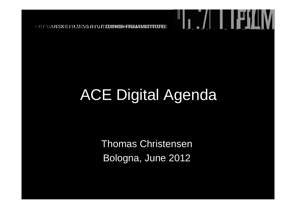# ACE Digital Agenda

"I, <u>./| | | | | | | | | | |</u>

Thomas ChristensenBologna, June 2012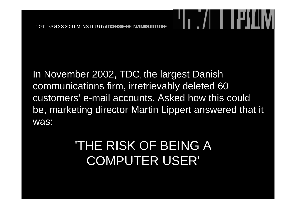In November 2002, TDC, the largest Danish communications firm, irretrievably deleted 60 customers' e-mail accounts. Asked how this could be, marketing director Martin Lippert answered that it was:

**↑ . /│ ┃ ┃ i\*」**∐

#### 'THE RISK OF BEING A COMPUTER USER'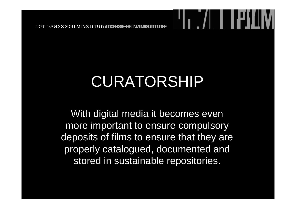## CURATORSHIP

With digital media it becomes even more important to ensure compulsory deposits of films to ensure that they are properly catalogued, documented and stored in sustainable repositories.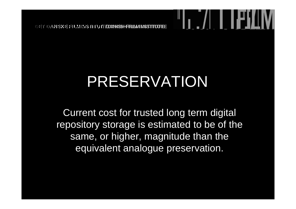### PRESERVATION

Current cost for trusted long term digital repository storage is estimated to be of the same, or higher, magnitude than the equivalent analogue preservation.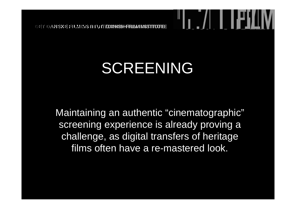### SCREENING

Maintaining an authentic "cinematographic" screening experience is already proving a challenge, as digital transfers of heritage films often have a re-mastered look.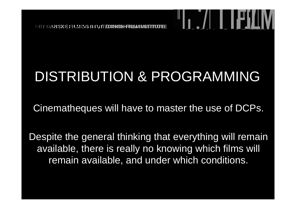#### DISTRIBUTION & PROGRAMMING

Cinematheques will have to master the use of DCPs.

Despite the general thinking that everything will remain available, there is really no knowing which films will remain available, and under which conditions.